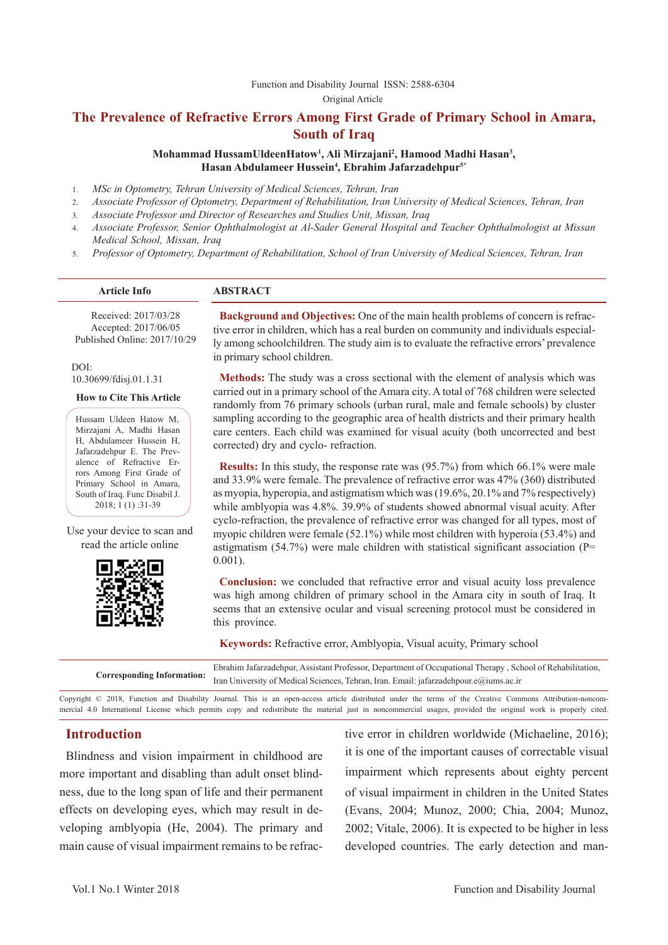Function and Disability Journal ISSN: 2588-6304

Original Article

## **The Prevalence of Refractive Errors Among First Grade of Primary School in Amara, South of Iraq**

**Mohammad HussamUldeenHatow1 , Ali Mirzajani2 , Hamood Madhi Hasan3 , Hasan Abdulameer Hussein4 , Ebrahim Jafarzadehpur5\***

- 1. *MSc in Optometry, Tehran University of Medical Sciences, Tehran, Iran*
- 2. *Associate Professor of Optometry, Department of Rehabilitation, Iran University of Medical Sciences, Tehran, Iran*
- 3. *Associate Professor and Director of Researches and Studies Unit, Missan, Iraq*
- 4. *Associate Professor, Senior Ophthalmologist at Al-Sader General Hospital and Teacher Ophthalmologist at Missan Medical School, Missan, Iraq*
- 5. *Professor of Optometry, Department of Rehabilitation, School of Iran University of Medical Sciences, Tehran, Iran*

#### **Article Info ABSTRACT**

Received: 2017/03/28 Accepted: 2017/06/05 Published Online: 2017/10/29

DOI: 10.30699/fdisj.01.1.31

**How to Cite This Article**

Hussam Uldeen Hatow M, Mirzajani A, Madhi Hasan H, Abdulameer Hussein H, Jafarzadehpur E. The Prevalence of Refractive Errors Among First Grade of Primary School in Amara, South of Iraq. Func Disabil J. 2018; 1 (1) :31-39

Use your device to scan and read the article online



**Background and Objectives:** One of the main health problems of concern is refractive error in children, which has a real burden on community and individuals especially among schoolchildren. The study aim is to evaluate the refractive errors' prevalence in primary school children.

**Methods:** The study was a cross sectional with the element of analysis which was carried out in a primary school of the Amara city. A total of 768 children were selected randomly from 76 primary schools (urban rural, male and female schools) by cluster sampling according to the geographic area of health districts and their primary health care centers. Each child was examined for visual acuity (both uncorrected and best corrected) dry and cyclo- refraction.

**Results:** In this study, the response rate was (95.7%) from which 66.1% were male and 33.9% were female. The prevalence of refractive error was 47% (360) distributed as myopia, hyperopia, and astigmatism which was (19.6%, 20.1% and 7% respectively) while amblyopia was 4.8%. 39.9% of students showed abnormal visual acuity. After cyclo-refraction, the prevalence of refractive error was changed for all types, most of myopic children were female (52.1%) while most children with hyperoia (53.4%) and astigmatism (54.7%) were male children with statistical significant association ( $P=$  $0.001$ ).

**Conclusion:** we concluded that refractive error and visual acuity loss prevalence was high among children of primary school in the Amara city in south of Iraq. It seems that an extensive ocular and visual screening protocol must be considered in this province.

**Keywords:** Refractive error, Amblyopia, Visual acuity, Primary school

| Ebrahim Jafarzadehpur, Assistant Professor, Department of Occupational Therapy, School of Rehabilitation,        |
|------------------------------------------------------------------------------------------------------------------|
| Corresponding Information: Iran University of Medical Sciences, Tehran, Iran. Email: jafarzadehpour.e@iums.ac.ir |

Copyright © 2018, Function and Disability Journal. This is an open-access article distributed under the terms of the Creative Commons Attribution-noncommercial 4.0 International License which permits copy and redistribute the material just in noncommercial usages, provided the original work is properly cited.

### **Introduction**

Blindness and vision impairment in childhood are more important and disabling than adult onset blindness, due to the long span of life and their permanent effects on developing eyes, which may result in developing amblyopia (He, 2004). The primary and main cause of visual impairment remains to be refractive error in children worldwide (Michaeline, 2016); it is one of the important causes of correctable visual impairment which represents about eighty percent of visual impairment in children in the United States (Evans, 2004; Munoz, 2000; Chia, 2004; Munoz, 2002; Vitale, 2006). It is expected to be higher in less developed countries. The early detection and man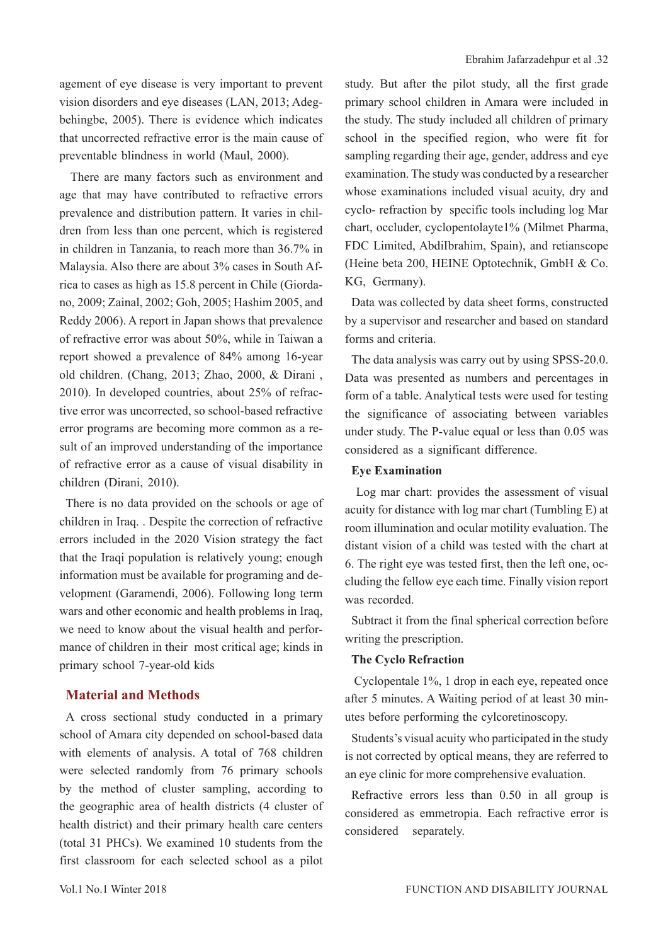agement of eye disease is very important to prevent vision disorders and eye diseases (LAN, 2013; Adegbehingbe, 2005). There is evidence which indicates that uncorrected refractive error is the main cause of preventable blindness in world (Maul, 2000).

 There are many factors such as environment and age that may have contributed to refractive errors prevalence and distribution pattern. It varies in children from less than one percent, which is registered in children in Tanzania, to reach more than 36.7% in Malaysia. Also there are about 3% cases in South Africa to cases as high as 15.8 percent in Chile (Giordano, 2009; Zainal, 2002; Goh, 2005; Hashim 2005, and Reddy 2006). A report in Japan shows that prevalence of refractive error was about 50%, while in Taiwan a report showed a prevalence of 84% among 16-year old children. (Chang, 2013; Zhao, 2000, & Dirani , 2010). In developed countries, about 25% of refractive error was uncorrected, so school-based refractive error programs are becoming more common as a result of an improved understanding of the importance of refractive error as a cause of visual disability in children (Dirani, 2010).

There is no data provided on the schools or age of children in Iraq. . Despite the correction of refractive errors included in the 2020 Vision strategy the fact that the Iraqi population is relatively young; enough information must be available for programing and development (Garamendi, 2006). Following long term wars and other economic and health problems in Iraq, we need to know about the visual health and performance of children in their most critical age; kinds in primary school 7-year-old kids

### **Material and Methods**

A cross sectional study conducted in a primary school of Amara city depended on school-based data with elements of analysis. A total of 768 children were selected randomly from 76 primary schools by the method of cluster sampling, according to the geographic area of health districts (4 cluster of health district) and their primary health care centers (total 31 PHCs). We examined 10 students from the first classroom for each selected school as a pilot study. But after the pilot study, all the first grade primary school children in Amara were included in the study. The study included all children of primary school in the specified region, who were fit for sampling regarding their age, gender, address and eye examination. The study was conducted by a researcher whose examinations included visual acuity, dry and cyclo- refraction by specific tools including log Mar chart, occluder, cyclopentolayte1% (Milmet Pharma, FDC Limited, AbdiIbrahim, Spain), and retianscope (Heine beta 200, HEINE Optotechnik, GmbH & Co. KG, Germany).

Data was collected by data sheet forms, constructed by a supervisor and researcher and based on standard forms and criteria.

The data analysis was carry out by using SPSS-20.0. Data was presented as numbers and percentages in form of a table. Analytical tests were used for testing the significance of associating between variables under study. The P-value equal or less than 0.05 was considered as a significant difference.

### **Eye Examination**

 Log mar chart: provides the assessment of visual acuity for distance with log mar chart (Tumbling E) at room illumination and ocular motility evaluation. The distant vision of a child was tested with the chart at 6. The right eye was tested first, then the left one, occluding the fellow eye each time. Finally vision report was recorded.

Subtract it from the final spherical correction before writing the prescription.

### **The Cyclo Refraction**

 Cyclopentale 1%, 1 drop in each eye, repeated once after 5 minutes. A Waiting period of at least 30 minutes before performing the cylcoretinoscopy.

Students's visual acuity who participated in the study is not corrected by optical means, they are referred to an eye clinic for more comprehensive evaluation.

Refractive errors less than 0.50 in all group is considered as emmetropia. Each refractive error is considered separately.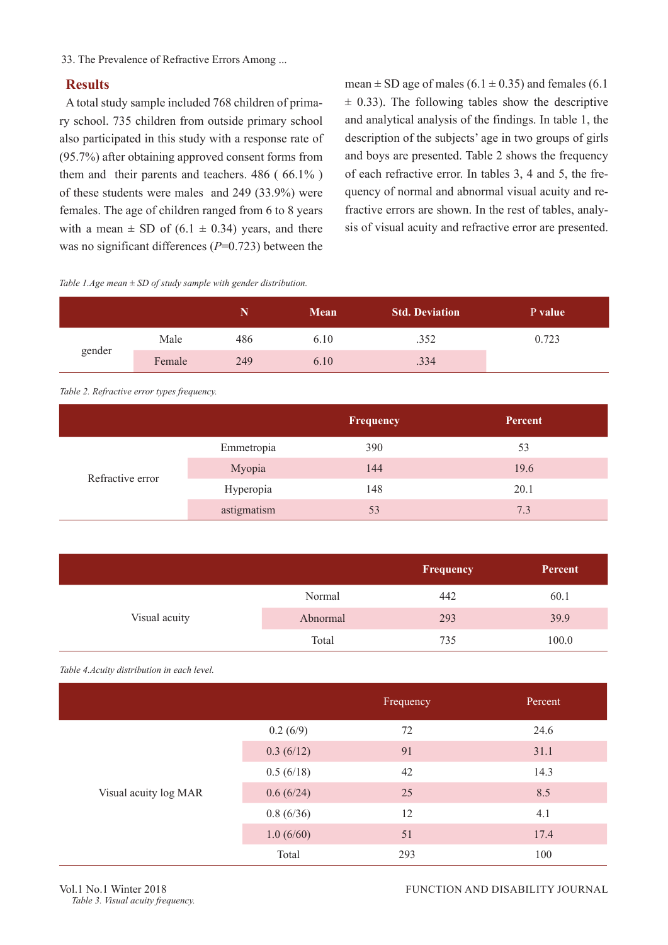33. The Prevalence of Refractive Errors Among ...

### **Results**

A total study sample included 768 children of primary school. 735 children from outside primary school also participated in this study with a response rate of (95.7%) after obtaining approved consent forms from them and their parents and teachers. 486 ( 66.1% ) of these students were males and 249 (33.9%) were females. The age of children ranged from 6 to 8 years with a mean  $\pm$  SD of (6.1  $\pm$  0.34) years, and there was no significant differences ( $P=0.723$ ) between the

mean  $\pm$  SD age of males (6.1  $\pm$  0.35) and females (6.1  $\pm$  0.33). The following tables show the descriptive and analytical analysis of the findings. In table 1, the description of the subjects' age in two groups of girls and boys are presented. Table 2 shows the frequency of each refractive error. In tables 3, 4 and 5, the frequency of normal and abnormal visual acuity and refractive errors are shown. In the rest of tables, analysis of visual acuity and refractive error are presented.

#### *Table 1.Age mean ± SD of study sample with gender distribution.*

|        |        |     | <b>Mean</b> | <b>Std. Deviation</b> | P value |
|--------|--------|-----|-------------|-----------------------|---------|
|        | Male   | 486 | 6.10        | .352                  | 0.723   |
| gender | Female | 249 | 6.10        | .334                  |         |

*Table 2. Refractive error types frequency.*

|                  |             | Frequency | Percent |
|------------------|-------------|-----------|---------|
| Refractive error | Emmetropia  | 390       | 53      |
|                  | Myopia      | 144       | 19.6    |
|                  | Hyperopia   | 148       | 20.1    |
|                  | astigmatism | 53        | 7.3     |

|               |          | Frequency | Percent |
|---------------|----------|-----------|---------|
|               | Normal   | 442       | 60.1    |
| Visual acuity | Abnormal | 293       | 39.9    |
|               | Total    | 735       | 100.0   |

*Table 4.Acuity distribution in each level.*

|                       |           | Frequency | Percent |
|-----------------------|-----------|-----------|---------|
|                       | 0.2(6/9)  | 72        | 24.6    |
|                       | 0.3(6/12) | 91        | 31.1    |
|                       | 0.5(6/18) | 42        | 14.3    |
| Visual acuity log MAR | 0.6(6/24) | 25        | 8.5     |
|                       | 0.8(6/36) | 12        | 4.1     |
|                       | 1.0(6/60) | 51        | 17.4    |
|                       | Total     | 293       | 100     |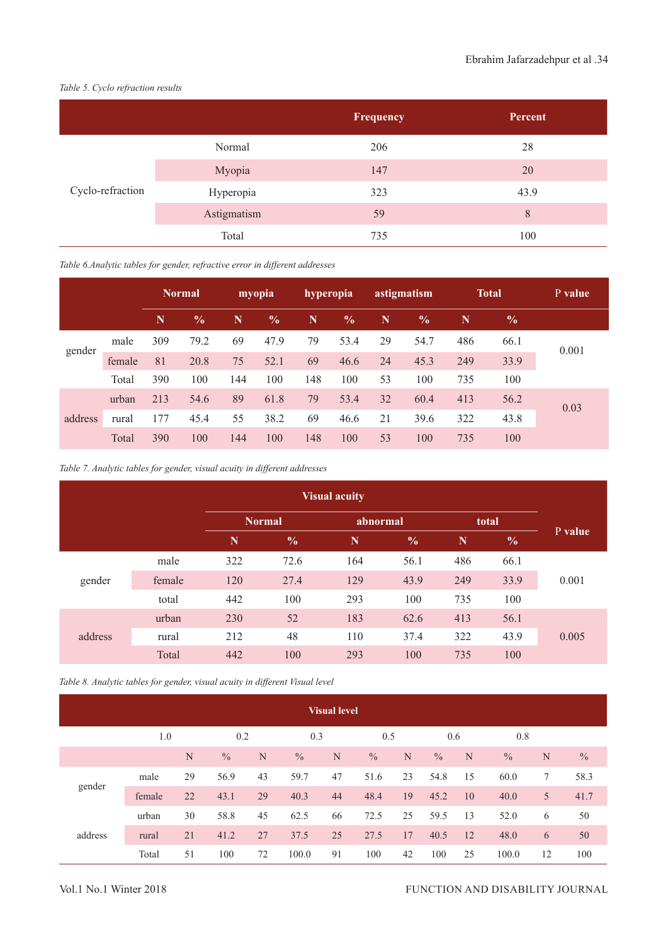*Table 5. Cyclo refraction results*

|                  |             | Frequency | Percent, |
|------------------|-------------|-----------|----------|
| Cyclo-refraction | Normal      | 206       | 28       |
|                  | Myopia      | 147       | 20       |
|                  | Hyperopia   | 323       | 43.9     |
|                  | Astigmatism | 59        | 8        |
|                  | Total       | 735       | 100      |

*Table 6.Analytic tables for gender, refractive error in different addresses*

|         |        |             | astigmatism<br><b>Normal</b><br>hyperopia<br>myopia |     |               | <b>Total</b> | P value       |    |               |     |               |       |  |
|---------|--------|-------------|-----------------------------------------------------|-----|---------------|--------------|---------------|----|---------------|-----|---------------|-------|--|
|         |        | $\mathbf N$ | $\frac{0}{0}$                                       | N   | $\frac{0}{0}$ | N            | $\frac{0}{0}$ | N  | $\frac{0}{0}$ | N   | $\frac{6}{9}$ |       |  |
| gender  | male   | 309         | 79.2                                                | 69  | 47.9          | 79           | 53.4          | 29 | 54.7          | 486 | 66.1          | 0.001 |  |
|         | female | 81          | 20.8                                                | 75  | 52.1          | 69           | 46.6          | 24 | 45.3          | 249 | 33.9          |       |  |
|         | Total  | 390         | 100                                                 | 144 | 100           | 148          | 100           | 53 | 100           | 735 | 100           |       |  |
|         | urban  | 213         | 54.6                                                | 89  | 61.8          | 79           | 53.4          | 32 | 60.4          | 413 | 56.2          | 0.03  |  |
| address | rural  | 177         | 45.4                                                | 55  | 38.2          | 69           | 46.6          | 21 | 39.6          | 322 | 43.8          |       |  |
|         | Total  | 390         | 100                                                 | 144 | 100           | 148          | 100           | 53 | 100           | 735 | 100           |       |  |

*Table 7. Analytic tables for gender, visual acuity in different addresses*

| <b>Visual acuity</b> |        |             |               |             |               |             |               |         |  |
|----------------------|--------|-------------|---------------|-------------|---------------|-------------|---------------|---------|--|
|                      |        |             | <b>Normal</b> | abnormal    |               |             | total         |         |  |
|                      |        | $\mathbf N$ | $\frac{0}{0}$ | $\mathbf N$ | $\frac{0}{0}$ | $\mathbf N$ | $\frac{0}{0}$ | P value |  |
| gender               | male   | 322         | 72.6          | 164         | 56.1          | 486         | 66.1          |         |  |
|                      | female | 120         | 27.4          | 129         | 43.9          | 249         | 33.9          | 0.001   |  |
|                      | total  | 442         | 100           | 293         | 100           | 735         | 100           |         |  |
| address              | urban  | 230         | 52            | 183         | 62.6          | 413         | 56.1          |         |  |
|                      | rural  | 212         | 48            | 110         | 37.4          | 322         | 43.9          | 0.005   |  |
|                      | Total  | 442         | 100           | 293         | 100           | 735         | 100           |         |  |

*Table 8. Analytic tables for gender, visual acuity in different Visual level*

| <b>Visual level</b> |        |    |                   |    |               |     |               |     |               |    |               |    |               |
|---------------------|--------|----|-------------------|----|---------------|-----|---------------|-----|---------------|----|---------------|----|---------------|
|                     | 1.0    |    | 0.2<br>0.3<br>0.5 |    |               | 0.6 |               | 0.8 |               |    |               |    |               |
|                     |        | N  | $\frac{0}{0}$     | N  | $\frac{0}{0}$ | N   | $\frac{0}{0}$ | N   | $\frac{0}{0}$ | N  | $\frac{0}{0}$ | N  | $\frac{0}{0}$ |
| gender              | male   | 29 | 56.9              | 43 | 59.7          | 47  | 51.6          | 23  | 54.8          | 15 | 60.0          | 7  | 58.3          |
|                     | female | 22 | 43.1              | 29 | 40.3          | 44  | 48.4          | 19  | 45.2          | 10 | 40.0          | 5  | 41.7          |
|                     | urban  | 30 | 58.8              | 45 | 62.5          | 66  | 72.5          | 25  | 59.5          | 13 | 52.0          | 6  | 50            |
| address             | rural  | 21 | 41.2              | 27 | 37.5          | 25  | 27.5          | 17  | 40.5          | 12 | 48.0          | 6  | 50            |
|                     | Total  | 51 | 100               | 72 | 100.0         | 91  | 100           | 42  | 100           | 25 | 100.0         | 12 | 100           |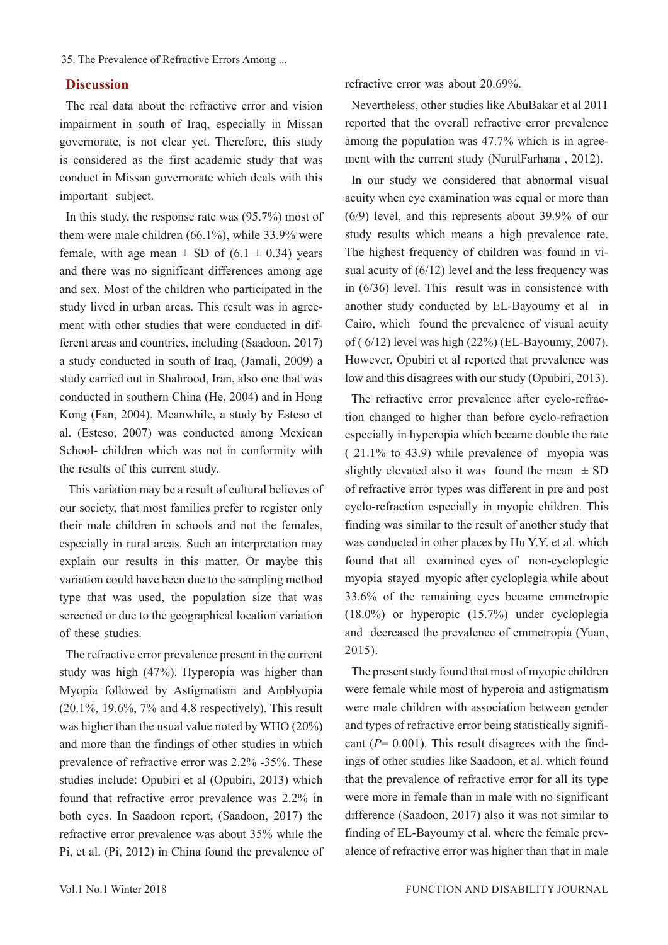35. The Prevalence of Refractive Errors Among ...

### **Discussion**

The real data about the refractive error and vision impairment in south of Iraq, especially in Missan governorate, is not clear yet. Therefore, this study is considered as the first academic study that was conduct in Missan governorate which deals with this important subject.

In this study, the response rate was (95.7%) most of them were male children (66.1%), while 33.9% were female, with age mean  $\pm$  SD of (6.1  $\pm$  0.34) years and there was no significant differences among age and sex. Most of the children who participated in the study lived in urban areas. This result was in agreement with other studies that were conducted in different areas and countries, including (Saadoon, 2017) a study conducted in south of Iraq, (Jamali, 2009) a study carried out in Shahrood, Iran, also one that was conducted in southern China (He, 2004) and in Hong Kong (Fan, 2004). Meanwhile, a study by Esteso et al. (Esteso, 2007) was conducted among Mexican School- children which was not in conformity with the results of this current study.

 This variation may be a result of cultural believes of our society, that most families prefer to register only their male children in schools and not the females, especially in rural areas. Such an interpretation may explain our results in this matter. Or maybe this variation could have been due to the sampling method type that was used, the population size that was screened or due to the geographical location variation of these studies.

The refractive error prevalence present in the current study was high (47%). Hyperopia was higher than Myopia followed by Astigmatism and Amblyopia (20.1%, 19.6%, 7% and 4.8 respectively). This result was higher than the usual value noted by WHO (20%) and more than the findings of other studies in which prevalence of refractive error was 2.2% -35%. These studies include: Opubiri et al (Opubiri, 2013) which found that refractive error prevalence was 2.2% in both eyes. In Saadoon report, (Saadoon, 2017) the refractive error prevalence was about 35% while the Pi, et al. (Pi, 2012) in China found the prevalence of refractive error was about 20.69%.

Nevertheless, other studies like AbuBakar et al 2011 reported that the overall refractive error prevalence among the population was 47.7% which is in agreement with the current study (NurulFarhana , 2012).

In our study we considered that abnormal visual acuity when eye examination was equal or more than (6/9) level, and this represents about 39.9% of our study results which means a high prevalence rate. The highest frequency of children was found in visual acuity of (6/12) level and the less frequency was in (6/36) level. This result was in consistence with another study conducted by EL-Bayoumy et al in Cairo, which found the prevalence of visual acuity of ( 6/12) level was high (22%) (EL-Bayoumy, 2007). However, Opubiri et al reported that prevalence was low and this disagrees with our study (Opubiri, 2013).

The refractive error prevalence after cyclo-refraction changed to higher than before cyclo-refraction especially in hyperopia which became double the rate ( 21.1% to 43.9) while prevalence of myopia was slightly elevated also it was found the mean  $\pm$  SD of refractive error types was different in pre and post cyclo-refraction especially in myopic children. This finding was similar to the result of another study that was conducted in other places by Hu Y.Y. et al. which found that all examined eyes of non-cycloplegic myopia stayed myopic after cycloplegia while about 33.6% of the remaining eyes became emmetropic (18.0%) or hyperopic (15.7%) under cycloplegia and decreased the prevalence of emmetropia (Yuan, 2015).

The present study found that most of myopic children were female while most of hyperoia and astigmatism were male children with association between gender and types of refractive error being statistically significant  $(P= 0.001)$ . This result disagrees with the findings of other studies like Saadoon, et al. which found that the prevalence of refractive error for all its type were more in female than in male with no significant difference (Saadoon, 2017) also it was not similar to finding of EL-Bayoumy et al. where the female prevalence of refractive error was higher than that in male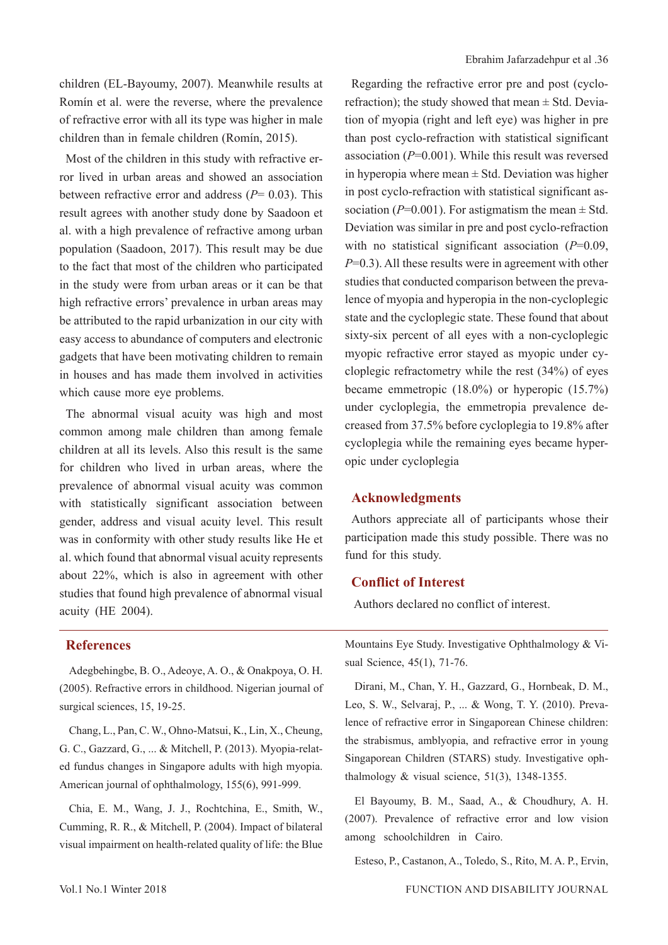children (EL-Bayoumy, 2007). Meanwhile results at Romín et al. were the reverse, where the prevalence of refractive error with all its type was higher in male children than in female children (Romín, 2015).

Most of the children in this study with refractive error lived in urban areas and showed an association between refractive error and address  $(P= 0.03)$ . This result agrees with another study done by Saadoon et al. with a high prevalence of refractive among urban population (Saadoon, 2017). This result may be due to the fact that most of the children who participated in the study were from urban areas or it can be that high refractive errors' prevalence in urban areas may be attributed to the rapid urbanization in our city with easy access to abundance of computers and electronic gadgets that have been motivating children to remain in houses and has made them involved in activities which cause more eye problems.

The abnormal visual acuity was high and most common among male children than among female children at all its levels. Also this result is the same for children who lived in urban areas, where the prevalence of abnormal visual acuity was common with statistically significant association between gender, address and visual acuity level. This result was in conformity with other study results like He et al. which found that abnormal visual acuity represents about 22%, which is also in agreement with other studies that found high prevalence of abnormal visual acuity (HE 2004).

Regarding the refractive error pre and post (cyclorefraction); the study showed that mean  $\pm$  Std. Deviation of myopia (right and left eye) was higher in pre than post cyclo-refraction with statistical significant association (*P*=0.001). While this result was reversed in hyperopia where mean  $\pm$  Std. Deviation was higher in post cyclo-refraction with statistical significant association ( $P=0.001$ ). For astigmatism the mean  $\pm$  Std. Deviation was similar in pre and post cyclo-refraction with no statistical significant association (*P*=0.09, *P*=0.3). All these results were in agreement with other studies that conducted comparison between the prevalence of myopia and hyperopia in the non-cycloplegic state and the cycloplegic state. These found that about sixty-six percent of all eyes with a non-cycloplegic myopic refractive error stayed as myopic under cycloplegic refractometry while the rest (34%) of eyes became emmetropic (18.0%) or hyperopic (15.7%) under cycloplegia, the emmetropia prevalence decreased from 37.5% before cycloplegia to 19.8% after cycloplegia while the remaining eyes became hyperopic under cycloplegia

### **Acknowledgments**

Authors appreciate all of participants whose their participation made this study possible. There was no fund for this study.

### **Conflict of Interest**

Authors declared no conflict of interest.

### **References**

Adegbehingbe, B. O., Adeoye, A. O., & Onakpoya, O. H. (2005). Refractive errors in childhood. Nigerian journal of surgical sciences, 15, 19-25.

Chang, L., Pan, C. W., Ohno-Matsui, K., Lin, X., Cheung, G. C., Gazzard, G., ... & Mitchell, P. (2013). Myopia-related fundus changes in Singapore adults with high myopia. American journal of ophthalmology, 155(6), 991-999.

Chia, E. M., Wang, J. J., Rochtchina, E., Smith, W., Cumming, R. R., & Mitchell, P. (2004). Impact of bilateral visual impairment on health-related quality of life: the Blue Mountains Eye Study. Investigative Ophthalmology & Visual Science, 45(1), 71-76.

Dirani, M., Chan, Y. H., Gazzard, G., Hornbeak, D. M., Leo, S. W., Selvaraj, P., ... & Wong, T. Y. (2010). Prevalence of refractive error in Singaporean Chinese children: the strabismus, amblyopia, and refractive error in young Singaporean Children (STARS) study. Investigative ophthalmology  $&$  visual science, 51(3), 1348-1355.

El Bayoumy, B. M., Saad, A., & Choudhury, A. H. (2007). Prevalence of refractive error and low vision among schoolchildren in Cairo.

Esteso, P., Castanon, A., Toledo, S., Rito, M. A. P., Ervin,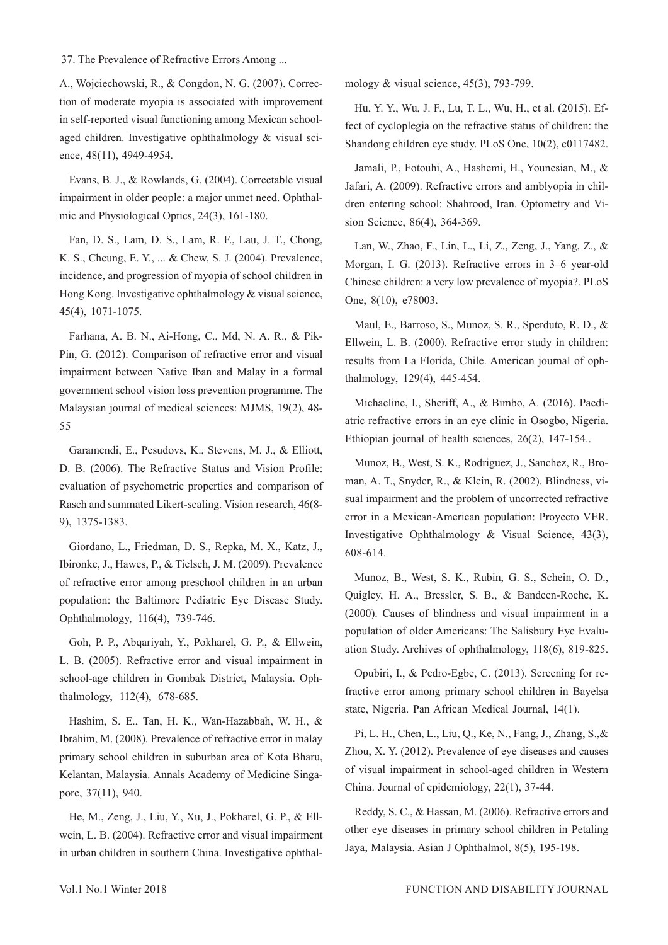#### 37. The Prevalence of Refractive Errors Among ...

A., Wojciechowski, R., & Congdon, N. G. (2007). Correction of moderate myopia is associated with improvement in self-reported visual functioning among Mexican schoolaged children. Investigative ophthalmology & visual science, 48(11), 4949-4954.

Evans, B. J., & Rowlands, G. (2004). Correctable visual impairment in older people: a major unmet need. Ophthalmic and Physiological Optics, 24(3), 161-180.

Fan, D. S., Lam, D. S., Lam, R. F., Lau, J. T., Chong, K. S., Cheung, E. Y., ... & Chew, S. J. (2004). Prevalence, incidence, and progression of myopia of school children in Hong Kong. Investigative ophthalmology & visual science, 45(4), 1071-1075.

Farhana, A. B. N., Ai-Hong, C., Md, N. A. R., & Pik-Pin, G. (2012). Comparison of refractive error and visual impairment between Native Iban and Malay in a formal government school vision loss prevention programme. The Malaysian journal of medical sciences: MJMS, 19(2), 48- 55

Garamendi, E., Pesudovs, K., Stevens, M. J., & Elliott, D. B. (2006). The Refractive Status and Vision Profile: evaluation of psychometric properties and comparison of Rasch and summated Likert-scaling. Vision research, 46(8- 9), 1375-1383.

Giordano, L., Friedman, D. S., Repka, M. X., Katz, J., Ibironke, J., Hawes, P., & Tielsch, J. M. (2009). Prevalence of refractive error among preschool children in an urban population: the Baltimore Pediatric Eye Disease Study. Ophthalmology, 116(4), 739-746.

Goh, P. P., Abqariyah, Y., Pokharel, G. P., & Ellwein, L. B. (2005). Refractive error and visual impairment in school-age children in Gombak District, Malaysia. Ophthalmology, 112(4), 678-685.

Hashim, S. E., Tan, H. K., Wan-Hazabbah, W. H., & Ibrahim, M. (2008). Prevalence of refractive error in malay primary school children in suburban area of Kota Bharu, Kelantan, Malaysia. Annals Academy of Medicine Singapore, 37(11), 940.

He, M., Zeng, J., Liu, Y., Xu, J., Pokharel, G. P., & Ellwein, L. B. (2004). Refractive error and visual impairment in urban children in southern China. Investigative ophthalmology & visual science, 45(3), 793-799.

Hu, Y. Y., Wu, J. F., Lu, T. L., Wu, H., et al. (2015). Effect of cycloplegia on the refractive status of children: the Shandong children eye study. PLoS One, 10(2), e0117482.

Jamali, P., Fotouhi, A., Hashemi, H., Younesian, M., & Jafari, A. (2009). Refractive errors and amblyopia in children entering school: Shahrood, Iran. Optometry and Vision Science, 86(4), 364-369.

Lan, W., Zhao, F., Lin, L., Li, Z., Zeng, J., Yang, Z., & Morgan, I. G. (2013). Refractive errors in 3–6 year-old Chinese children: a very low prevalence of myopia?. PLoS One, 8(10), e78003.

Maul, E., Barroso, S., Munoz, S. R., Sperduto, R. D., & Ellwein, L. B. (2000). Refractive error study in children: results from La Florida, Chile. American journal of ophthalmology, 129(4), 445-454.

Michaeline, I., Sheriff, A., & Bimbo, A. (2016). Paediatric refractive errors in an eye clinic in Osogbo, Nigeria. Ethiopian journal of health sciences, 26(2), 147-154..

Munoz, B., West, S. K., Rodriguez, J., Sanchez, R., Broman, A. T., Snyder, R., & Klein, R. (2002). Blindness, visual impairment and the problem of uncorrected refractive error in a Mexican-American population: Proyecto VER. Investigative Ophthalmology & Visual Science, 43(3), 608-614.

Munoz, B., West, S. K., Rubin, G. S., Schein, O. D., Quigley, H. A., Bressler, S. B., & Bandeen-Roche, K. (2000). Causes of blindness and visual impairment in a population of older Americans: The Salisbury Eye Evaluation Study. Archives of ophthalmology, 118(6), 819-825.

Opubiri, I., & Pedro-Egbe, C. (2013). Screening for refractive error among primary school children in Bayelsa state, Nigeria. Pan African Medical Journal, 14(1).

Pi, L. H., Chen, L., Liu, Q., Ke, N., Fang, J., Zhang, S.,& Zhou, X. Y. (2012). Prevalence of eye diseases and causes of visual impairment in school-aged children in Western China. Journal of epidemiology, 22(1), 37-44.

Reddy, S. C., & Hassan, M. (2006). Refractive errors and other eye diseases in primary school children in Petaling Jaya, Malaysia. Asian J Ophthalmol, 8(5), 195-198.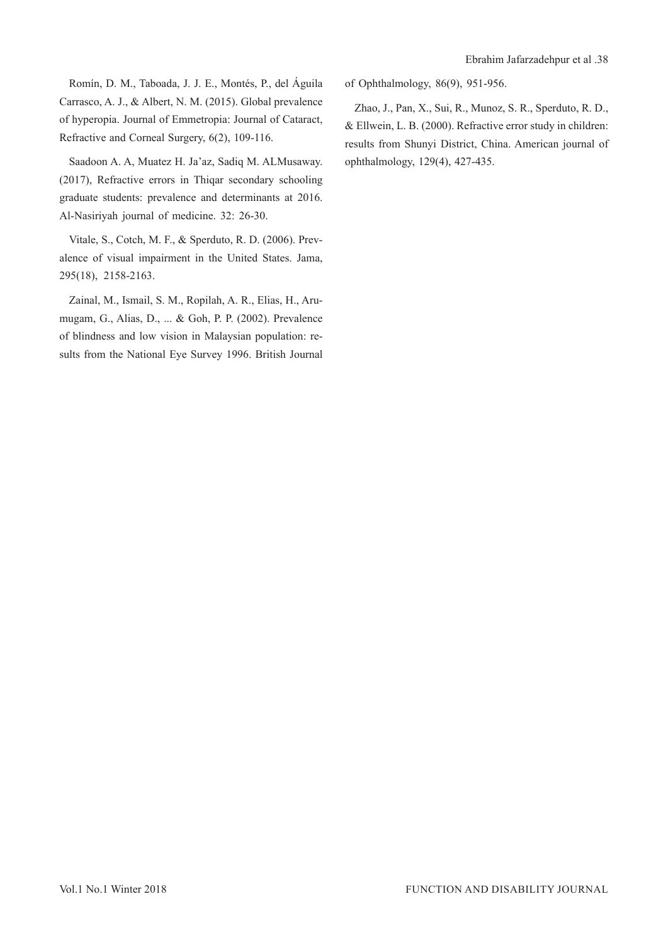Romín, D. M., Taboada, J. J. E., Montés, P., del Águila Carrasco, A. J., & Albert, N. M. (2015). Global prevalence of hyperopia. Journal of Emmetropia: Journal of Cataract, Refractive and Corneal Surgery, 6(2), 109-116.

Saadoon A. A, Muatez H. Ja'az, Sadiq M. ALMusaway. (2017), Refractive errors in Thiqar secondary schooling graduate students: prevalence and determinants at 2016. Al-Nasiriyah journal of medicine. 32: 26-30.

Vitale, S., Cotch, M. F., & Sperduto, R. D. (2006). Prevalence of visual impairment in the United States. Jama, 295(18), 2158-2163.

Zainal, M., Ismail, S. M., Ropilah, A. R., Elias, H., Arumugam, G., Alias, D., ... & Goh, P. P. (2002). Prevalence of blindness and low vision in Malaysian population: results from the National Eye Survey 1996. British Journal of Ophthalmology, 86(9), 951-956.

Zhao, J., Pan, X., Sui, R., Munoz, S. R., Sperduto, R. D., & Ellwein, L. B. (2000). Refractive error study in children: results from Shunyi District, China. American journal of ophthalmology, 129(4), 427-435.